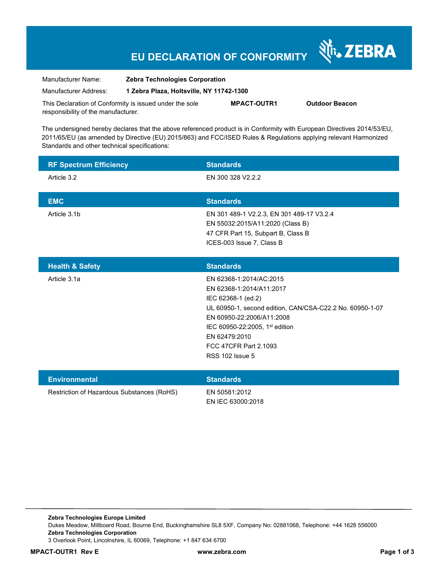# **EU DECLARATION OF CONFORMITY**

Nr. ZEBRA

| Manufacturer Name:                                      | <b>Zebra Technologies Corporation</b>    |                    |                       |  |
|---------------------------------------------------------|------------------------------------------|--------------------|-----------------------|--|
| Manufacturer Address:                                   | 1 Zebra Plaza, Holtsville, NY 11742-1300 |                    |                       |  |
| This Declaration of Conformity is issued under the sole |                                          | <b>MPACT-OUTR1</b> | <b>Outdoor Beacon</b> |  |
| responsibility of the manufacturer.                     |                                          |                    |                       |  |

The undersigned hereby declares that the above referenced product is in Conformity with European Directives 2014/53/EU, 2011/65/EU (as amended by Directive (EU) 2015/863) and FCC/ISED Rules & Regulations applying relevant Harmonized Standards and other technical specifications:

| <b>RF Spectrum Efficiency</b>              | <b>Standards</b>                                                                                                                                                                                                                                                                     |
|--------------------------------------------|--------------------------------------------------------------------------------------------------------------------------------------------------------------------------------------------------------------------------------------------------------------------------------------|
| Article 3.2                                | EN 300 328 V2.2.2                                                                                                                                                                                                                                                                    |
| <b>EMC</b>                                 | <b>Standards</b>                                                                                                                                                                                                                                                                     |
| Article 3.1b                               | EN 301 489-1 V2.2.3, EN 301 489-17 V3.2.4<br>EN 55032:2015/A11:2020 (Class B)<br>47 CFR Part 15, Subpart B, Class B<br>ICES-003 Issue 7, Class B                                                                                                                                     |
| <b>Health &amp; Safety</b>                 | <b>Standards</b>                                                                                                                                                                                                                                                                     |
| Article 3.1a                               | EN 62368-1:2014/AC:2015<br>EN 62368-1:2014/A11:2017<br>IEC 62368-1 (ed.2)<br>UL 60950-1, second edition, CAN/CSA-C22.2 No. 60950-1-07<br>EN 60950-22:2006/A11:2008<br>IEC 60950-22:2005, 1 <sup>st</sup> edition<br>EN 62479:2010<br>FCC 47CFR Part 2.1093<br><b>RSS 102 Issue 5</b> |
| <b>Environmental</b>                       | <b>Standards</b>                                                                                                                                                                                                                                                                     |
| Restriction of Hazardous Substances (RoHS) | EN 50581:2012<br>EN IEC 63000:2018                                                                                                                                                                                                                                                   |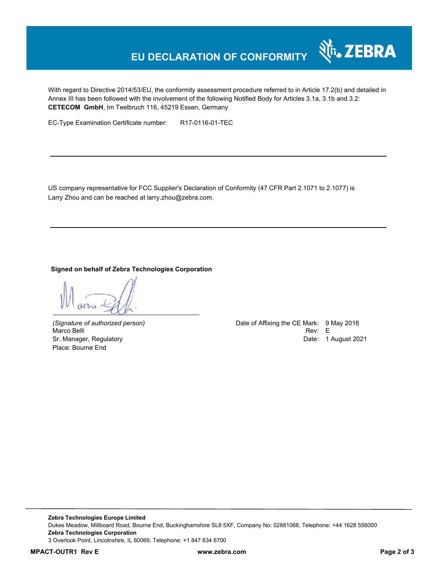### **EU DECLARATION OF CONFORMITY**

With regard to Directive 2014/53/EU, the conformity assessment procedure referred to in Article 17.2(b) and detailed in Annex III has been followed with the involvement of the following Notified Body for Articles 3.1a, 3.1b and 3.2: **CETECOM GmbH**, Im Teelbruch 116, 45219 Essen, Germany

EC-Type Examination Certificate number: R17-0116-01-TEC

US company representative for FCC Supplier's Declaration of Conformity (47 CFR Part 2.1071 to 2.1077) is Larry Zhou and can be reached at larry.zhou@zebra.com.

#### **Signed on behalf of Zebra Technologies Corporation**

Marco Belli Place: Bourne End

*(Signature of authorized person)* Date of Affixing the CE Mark: 9 May 2016 Sr. Manager, Regulatory **Date: 1 August 2021** 

र्शे<sub>ं</sub> ZEBRA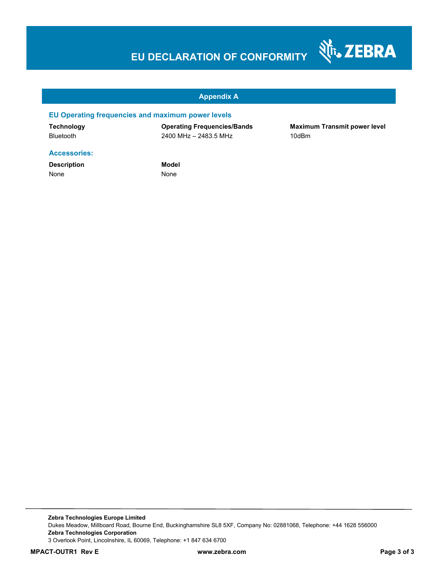# **EU DECLARATION OF CONFORMITY**



#### **Appendix A**

#### **EU Operating frequencies and maximum power levels**

**Technology Operating Frequencies/Bands Maximum Transmit power level**  Bluetooth 2400 MHz – 2483.5 MHz 10dBm

#### **Accessories:**

**Description Model** None None